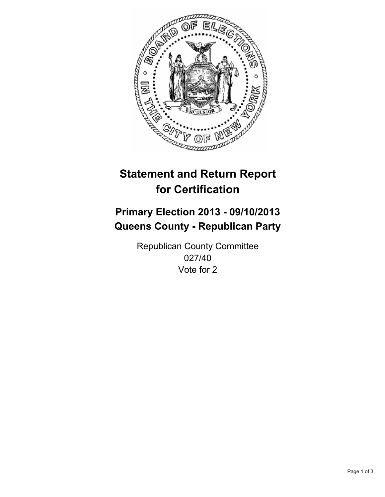

# **Statement and Return Report for Certification**

# **Primary Election 2013 - 09/10/2013 Queens County - Republican Party**

Republican County Committee 027/40 Vote for 2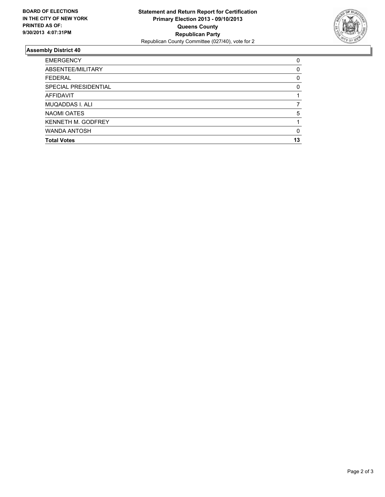

## **Assembly District 40**

| <b>EMERGENCY</b>     | 0  |
|----------------------|----|
| ABSENTEE/MILITARY    | 0  |
| <b>FEDERAL</b>       | 0  |
| SPECIAL PRESIDENTIAL | 0  |
| <b>AFFIDAVIT</b>     |    |
| MUQADDAS I. ALI      |    |
| NAOMI OATES          | 5  |
| KENNETH M. GODFREY   |    |
| <b>WANDA ANTOSH</b>  | 0  |
| <b>Total Votes</b>   | 13 |